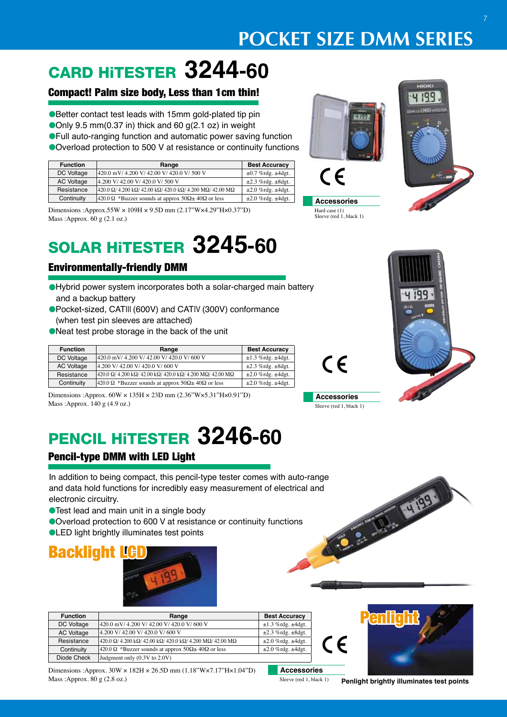## **POCKET SIZE DMM SERIES**

## CARD HiTESTER **3244-60**

### Compact! Palm size body, Less than 1cm thin!

● Better contact test leads with 15mm gold-plated tip pin Only 9.5 mm(0.37 in) thick and 60  $g(2.1 oz)$  in weight **• Full auto-ranging function and automatic power saving function** 

● Overload protection to 500 V at resistance or continuity functions

| <b>Function</b>   | Range                                                                                                         | <b>Best Accuracy</b>         |
|-------------------|---------------------------------------------------------------------------------------------------------------|------------------------------|
| DC Voltage        | 420.0 mV/ 4.200 V/ 42.00 V/ 420.0 V/ 500 V                                                                    | $\pm 0.7$ %rdg. $\pm 4$ dgt. |
| <b>AC Voltage</b> | 4.200 V/ 42.00 V/ 420.0 V/ 500 V                                                                              | $\pm 2.3$ %rdg. $\pm 8$ dgt. |
| Resistance        | $420.0 \Omega$ / 4.200 k $\Omega$ / 42.00 k $\Omega$ / 420.0 k $\Omega$ / 4.200 M $\Omega$ / 42.00 M $\Omega$ | $\pm 2.0$ %rdg. $\pm 4$ dgt. |
| Continuity        | 420.0 $\Omega$ *Buzzer sounds at approx 50 $\Omega \pm 40 \Omega$ or less                                     | $\pm 2.0$ %rdg. $\pm 4$ dgt. |

Dimensions :Approx.55W × 109H × 9.5D mm (2.17"W×4.29"H×0.37"D) Mass :Approx. 60 g (2.1 oz.)

## SOLAR HiTESTER **3245-60**

### Environmentally-friendly DMM

- **e**Hybrid power system incorporates both a solar-charged main battery and a backup battery
- lPocket-sized, CATIII (600V) and CATIV (300V) conformance (when test pin sleeves are attached)
- lNeat test probe storage in the back of the unit

| <b>Function</b> | Range                                                                                                         | <b>Best Accuracy</b>         |
|-----------------|---------------------------------------------------------------------------------------------------------------|------------------------------|
| DC Voltage      | 420.0 mV/ 4.200 V/ 42.00 V/ 420.0 V/ 600 V                                                                    | $\pm 1.3$ %rdg. $\pm 4$ dgt. |
| AC Voltage      | 4.200 V/ 42.00 V/ 420.0 V/ 600 V                                                                              | $\pm 2.3$ %rdg. $\pm 8$ dgt. |
| Resistance      | $420.0 \Omega$ / 4.200 k $\Omega$ / 42.00 k $\Omega$ / 420.0 k $\Omega$ / 4.200 M $\Omega$ / 42.00 M $\Omega$ | $\pm 2.0$ %rdg. $\pm 4$ dgt. |
| Continuity      | $420.0 \Omega$ *Buzzer sounds at approx $50\Omega \pm 40\Omega$ or less                                       | $\pm 2.0$ %rdg. $\pm 4$ dgt. |

Dimensions :Approx. 60W × 135H × 23D mm (2.36"W×5.31"H×0.91"D) Mass :Approx. 140 g (4.9 oz.)

## PENCIL HiTESTER **3246-60**

### Pencil-type DMM with LED Light

In addition to being compact, this pencil-type tester comes with auto-range<br>
and data hold functions for incredibly easy measurement of electrical and<br>
electronic circuitry.<br>
Test lead and main unit in a single body<br>
Overl and data hold functions for incredibly easy measurement of electrical and electronic circuitry.

- **Test lead and main unit in a single body**
- Overload protection to 600 V at resistance or continuity functions
- **OLED light brightly illuminates test points**



| <b>Function</b>   | Range                                                                                                         | <b>Best Accuracy</b>         |
|-------------------|---------------------------------------------------------------------------------------------------------------|------------------------------|
| DC Voltage        | 420.0 mV/ 4.200 V/ 42.00 V/ 420.0 V/ 600 V                                                                    | $\pm 1.3$ %rdg. $\pm 4$ dgt. |
| <b>AC Voltage</b> | 4.200 V/42.00 V/420.0 V/600 V                                                                                 | $\pm 2.3$ %rdg. $\pm 8$ dgt. |
| Resistance        | $420.0 \Omega$ / 4.200 k $\Omega$ / 42.00 k $\Omega$ / 420.0 k $\Omega$ / 4.200 M $\Omega$ / 42.00 M $\Omega$ | $\pm 2.0$ %rdg. $\pm 4$ dgt. |
| Continuity        | $420.0 \Omega$ *Buzzer sounds at approx $50\Omega \pm 40\Omega$ or less                                       | $\pm 2.0$ %rdg. $\pm 4$ dgt. |
| Diode Check       | Judgment only (0.3V to 2.0V)                                                                                  |                              |

Dimensions :Approx. 30W × 182H × 26.5D mm (1.18"W×7.17"H×1.04"D) Mass :Approx. 80 g (2.8 oz.)

**Hard case**  $\epsilon$ 











Sleeve (red 1, black 1)



**Penlight brightly illuminates test points** Sleeve (red 1, black 1)

**Accessories**

 $\epsilon$